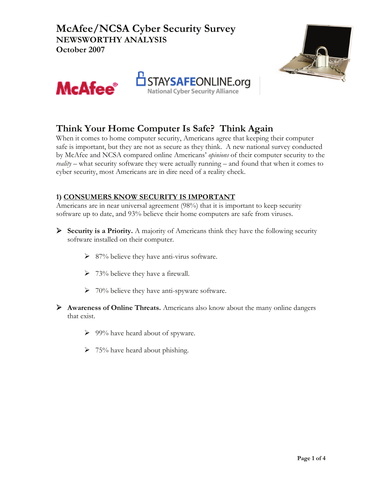**McAfee/NCSA Cyber Security Survey NEWSWORTHY ANALYSIS October 2007**







# **Think Your Home Computer Is Safe? Think Again**

When it comes to home computer security, Americans agree that keeping their computer safe is important, but they are not as secure as they think. A new national survey conducted by McAfee and NCSA compared online Americans' *opinions* of their computer security to the *reality* – what security software they were actually running – and found that when it comes to cyber security, most Americans are in dire need of a reality check.

## **1) CONSUMERS KNOW SECURITY IS IMPORTANT**

Americans are in near universal agreement (98%) that it is important to keep security software up to date, and 93% believe their home computers are safe from viruses.

- ¾ **Security is a Priority.** A majority of Americans think they have the following security software installed on their computer.
	- $\triangleright$  87% believe they have anti-virus software.
	- $\geq 73\%$  believe they have a firewall.
	- $\triangleright$  70% believe they have anti-spyware software.
- ¾ **Awareness of Online Threats.** Americans also know about the many online dangers that exist.
	- $\geq 99\%$  have heard about of spyware.
	- $\geq 75\%$  have heard about phishing.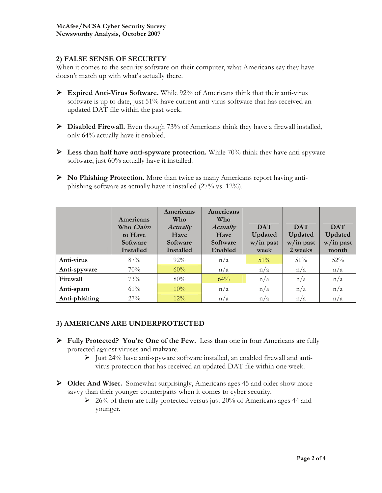### **2) FALSE SENSE OF SECURITY**

When it comes to the security software on their computer, what Americans say they have doesn't match up with what's actually there.

- ¾ **Expired Anti-Virus Software.** While 92% of Americans think that their anti-virus software is up to date, just 51% have current anti-virus software that has received an updated DAT file within the past week.
- ¾ **Disabled Firewall.** Even though 73% of Americans think they have a firewall installed, only 64% actually have it enabled.
- ¾ **Less than half have anti-spyware protection.** While 70% think they have anti-spyware software, just 60% actually have it installed.
- ¾ **No Phishing Protection.** More than twice as many Americans report having antiphishing software as actually have it installed (27% vs. 12%).

|               | Americans<br>Who Claim<br>to Have<br>Software<br>Installed | Americans<br>Who<br><b>Actually</b><br>Have<br>Software<br><b>Installed</b> | Americans<br>Who<br><b>Actually</b><br>Have<br>Software<br>Enabled | <b>DAT</b><br>Updated<br>$w/in$ past<br>week | <b>DAT</b><br>Updated<br>$w/in$ past<br>2 weeks | <b>DAT</b><br>Updated<br>$w/in$ past<br>month |
|---------------|------------------------------------------------------------|-----------------------------------------------------------------------------|--------------------------------------------------------------------|----------------------------------------------|-------------------------------------------------|-----------------------------------------------|
| Anti-virus    | 87%                                                        | 92%                                                                         | n/a                                                                | $51\%$                                       | 51%                                             | 52%                                           |
| Anti-spyware  | 70%                                                        | 60%                                                                         | n/a                                                                | n/a                                          | n/a                                             | n/a                                           |
| Firewall      | 73%                                                        | 80%                                                                         | 64%                                                                | n/a                                          | n/a                                             | n/a                                           |
| Anti-spam     | $61\%$                                                     | 10%                                                                         | n/a                                                                | n/a                                          | n/a                                             | n/a                                           |
| Anti-phishing | 27%                                                        | 12%                                                                         | n/a                                                                | n/a                                          | n/a                                             | n/a                                           |

### **3) AMERICANS ARE UNDERPROTECTED**

- ¾ **Fully Protected? You're One of the Few.** Less than one in four Americans are fully protected against viruses and malware.
	- $\triangleright$  Just 24% have anti-spyware software installed, an enabled firewall and antivirus protection that has received an updated DAT file within one week.
- ¾ **Older And Wiser.** Somewhat surprisingly, Americans ages 45 and older show more savvy than their younger counterparts when it comes to cyber security.
	- $\geq 26\%$  of them are fully protected versus just 20% of Americans ages 44 and younger.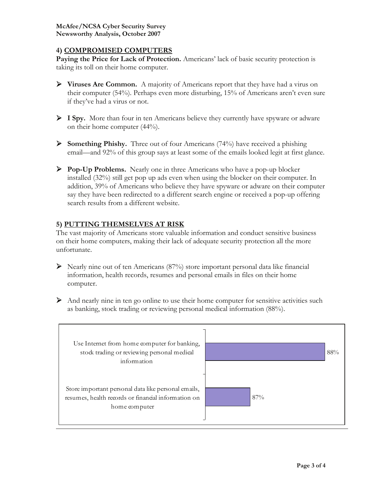#### **4) COMPROMISED COMPUTERS**

Paying the Price for Lack of Protection. Americans' lack of basic security protection is taking its toll on their home computer.

- ¾ **Viruses Are Common.** A majority of Americans report that they have had a virus on their computer (54%). Perhaps even more disturbing, 15% of Americans aren't even sure if they've had a virus or not.
- ¾ **I Spy.** More than four in ten Americans believe they currently have spyware or adware on their home computer (44%).
- ¾ **Something Phishy.** Three out of four Americans (74%) have received a phishing email—and 92% of this group says at least some of the emails looked legit at first glance.
- ¾ **Pop-Up Problems.** Nearly one in three Americans who have a pop-up blocker installed (32%) still get pop up ads even when using the blocker on their computer. In addition, 39% of Americans who believe they have spyware or adware on their computer say they have been redirected to a different search engine or received a pop-up offering search results from a different website.

### **5) PUTTING THEMSELVES AT RISK**

The vast majority of Americans store valuable information and conduct sensitive business on their home computers, making their lack of adequate security protection all the more unfortunate.

- $\triangleright$  Nearly nine out of ten Americans (87%) store important personal data like financial information, health records, resumes and personal emails in files on their home computer.
- $\triangleright$  And nearly nine in ten go online to use their home computer for sensitive activities such as banking, stock trading or reviewing personal medical information (88%).